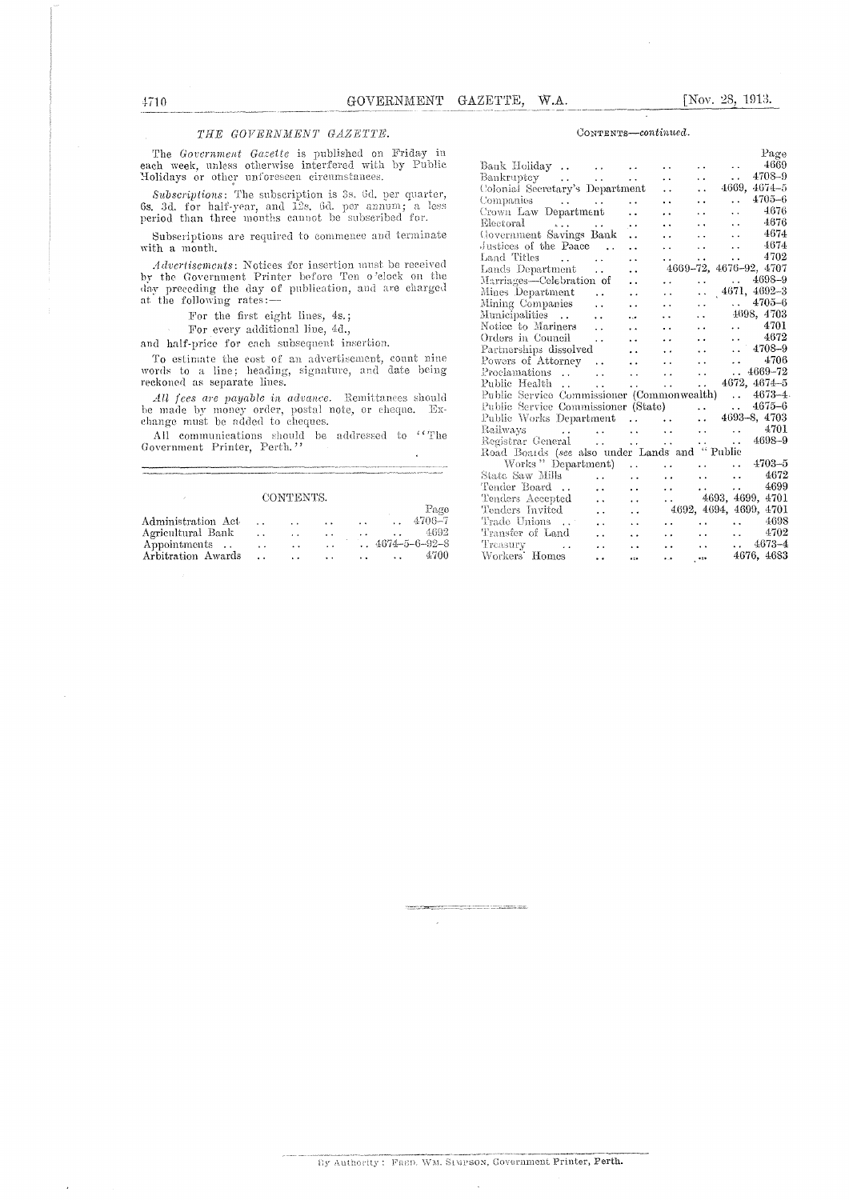### THE GOVERNMENT GAZETTE.

The Government Gazette is published on Friday in each week, unless otherwise interfered with by Public Holidays or other unforeseen circumstances.

Subscriptions: The subscription is 3s. 6d, per quarter, 6s. 3d. for half-year, and 12s. 6d. per annum; a less period than three months cannot be subscribed for.

Subscriptions are required to commence and terminate with a month.

 $Advert isements$ : Notices for insertion must be received by the Government Printer before Ten o'clock on the day preceding the day of publication, and are charged at the following rates:

For the first eight lines, 4s.;

For every additional line, 4d.,

and half-price for each subsequent insertion.

To estimate the cost of an advertisement, count nine<br>words to a line; heading, signature, and date being reckoned as separate lines.

 $\label{thm:all} All \,\, fees \,\, are \,\, payable \,\, in \,\, advance. \,\, Renittnrees \,\, should be \,\, made \,\, by \,\, money \,\,order, \,\, postal \,\,note \,\, or \,\,cheque. \,\, Ex-change \,\, must \,\, be \,\, added \,\, to \,\,cheques.$ 

All communications should be addressed to "The Government Printer, Perth."

## CONTENTS.

|                    |                      |                      |                      |                      | Page                     |
|--------------------|----------------------|----------------------|----------------------|----------------------|--------------------------|
| Administration Act | $\ddot{\phantom{0}}$ | $\ddot{\phantom{0}}$ | $\ddot{\phantom{a}}$ | $\ddot{\phantom{0}}$ | 4706–7                   |
| Agricultural Bank  | . .                  | $\ddot{\phantom{1}}$ | $\cdot$ $\cdot$      |                      | 4692                     |
| Appointments       | $\ddot{\phantom{1}}$ | $\cdot$ .            |                      |                      | $.4674 - 5 - 6 - 92 - 8$ |
| Arbitration Awards |                      | $\ddot{\phantom{1}}$ | $\ddot{\phantom{1}}$ |                      | 4700                     |

#### CONTENTS-continued.

|                                                    |                               |                      |                                            |                                                 |                         | Page       |
|----------------------------------------------------|-------------------------------|----------------------|--------------------------------------------|-------------------------------------------------|-------------------------|------------|
| Bank Holiday                                       |                               |                      | $\ddot{\phantom{0}}$                       | $\ddot{\phantom{0}}$                            | $\ddot{\phantom{a}}$    | 4669       |
|                                                    |                               |                      | $\ddot{\phantom{a}}$                       | $\ddot{\phantom{0}}$                            | $\ddotsc$               | 4708-9     |
| Bankruptcy<br>Colonial Secretary's Department      |                               | $\sim 100$           |                                            | $\ddot{\phantom{0}}$                            | 4669, 4674-5            |            |
| Companies $\ldots$ $\ldots$                        |                               |                      | $\ddot{\phantom{a}}$                       | $\ddot{\phantom{0}}$                            | $\sim 100$ km s $^{-1}$ | $4705 - 6$ |
| Crown Law Department                               |                               |                      | $\ddot{\phantom{a}}$                       | i.                                              | $\ddot{\phantom{a}}$    | 4676       |
|                                                    |                               | $\ddot{\phantom{1}}$ | $\ddot{\phantom{a}}$                       | $\ddot{\phantom{a}}$                            | $\ddot{\phantom{a}}$    | 4676       |
| Electoral<br>Government Savings Bank               |                               | $\ddot{\phantom{a}}$ | $\ddot{\phantom{0}}$                       | $\ddot{\phantom{a}}$                            | $\ldots$ 4674           |            |
| Justices of the Paace                              |                               | $\ddot{\phantom{a}}$ | $\ddot{\phantom{0}}$                       | $\sim$                                          | $\ddotsc$               | 4674       |
| Land Titles                                        |                               | $\ddot{\phantom{0}}$ | $\sim$ $\sim$                              | $\ddot{\phantom{a}}$                            | $\ddotsc$               | 4702       |
| Lands Department                                   |                               | $\ddot{\phantom{0}}$ | 4669-72, 4676-92, 4707                     |                                                 |                         |            |
| Marriages-Celebration of                           |                               | $\ddot{\phantom{a}}$ | $\ddot{\phantom{0}}$                       | $\ddot{\phantom{0}}$                            | $. 4698 - 9$            |            |
| Mines Department                                   | $\sim$ $\sim$                 | $\ddot{\phantom{0}}$ | $\ddot{\phantom{0}}$                       | $\ddotsc$                                       | $4671, 4692 - 3$        |            |
| Mining Companies                                   |                               | $\ddot{\phantom{1}}$ | $\ddotsc$                                  | v.                                              | $\therefore$ 4705-6     |            |
| Municipalities  .                                  |                               | ٠                    | $\ddot{\phantom{a}}$                       | $\ddotsc$                                       | 4698, 4703              |            |
| Notice to Mariners                                 |                               | $\ddot{\phantom{a}}$ | $\ddot{\phantom{0}}$                       | <b>College</b>                                  | $\ldots$ 4701           |            |
| Orders in Council                                  |                               | $\ddot{\phantom{a}}$ | $\ddot{\phantom{0}}$                       | <b>College</b>                                  | $\ldots$ 4672           |            |
| Partnerships dissolved                             |                               | $\ddot{\phantom{a}}$ | $\ddot{\phantom{a}}$                       | $\ddot{\phantom{a}}$                            | $\ldots$ 4708-9         |            |
| Powers of Attorney                                 |                               | $\ddot{\phantom{a}}$ | $\ddotsc$                                  | and the same of                                 |                         | 4706       |
| Proclamations                                      |                               | $\sim 100$           | $\mathbf{1}$ , $\mathbf{1}$ , $\mathbf{1}$ | $\sim$                                          | $. 4669 - 72$           |            |
| Public Health                                      | $\ddot{\phantom{a}}$          | $\ddot{\phantom{a}}$ | $\mathbf{1}$ , $\mathbf{1}$                | $\mathcal{L}(\mathbf{z})$ .                     | 4672, 4674-5            |            |
| Public Service Commissioner (Commonwealth)  4673-4 |                               |                      |                                            |                                                 |                         |            |
|                                                    |                               |                      |                                            |                                                 |                         |            |
|                                                    |                               |                      |                                            |                                                 |                         |            |
| Railways<br>الجلوب التجلوب التجلد المتوجب المرتبي  |                               |                      |                                            | $\ldots$ $4701$                                 |                         |            |
|                                                    |                               |                      |                                            |                                                 | $\ldots$ 4698-9         |            |
| Road Boards (see also under Lands and "Public      |                               |                      |                                            |                                                 |                         |            |
| Works "Department)                                 |                               |                      |                                            | $\ldots$ $\ldots$ $4703-5$                      |                         |            |
| State Saw Mills                                    |                               | $\ddot{\phantom{a}}$ | <b>CALL COV</b>                            | $\Delta$ and $\Delta$ and $\Delta$ and $\Delta$ |                         | 4672       |
| Tender Board                                       | $\mathbf{L}$ and $\mathbf{L}$ | $\ddot{\phantom{a}}$ |                                            | $\cdots$ $\cdots$ $\cdots$ $4699$               |                         |            |
| Tenders Accepted                                   | $\sim$ 100 $\sim$             | $\sim$ $\sim$        |                                            | $\ldots$ 4693, 4699, 4701                       |                         |            |
| Tenders Invited                                    | $\sim 100$                    | $\ddot{\phantom{a}}$ | 4692, 4694, 4699, 4701                     |                                                 |                         |            |
| Trade Unions                                       | $\sim$                        | $\ddot{\phantom{a}}$ |                                            | a and a state of the                            | $\,.\,$ 4698            |            |
| Transfer of Land                                   | $\sim$ . $\sim$               | $\ddot{\phantom{a}}$ |                                            | a a contra contra la                            | $\,.\,$ 4702            |            |
| Treasury                                           | $\sim$                        | $\ddot{\phantom{a}}$ |                                            | $\ldots$ $\ldots$ $\ldots$ $4673-4$             |                         |            |
| Workers' Homes                                     | $\ddot{\phantom{0}}$          | $\ddot{\bullet}$     | $\ddot{\phantom{a}}$                       | $\ddot{\phantom{a}}$                            | 4676, 4683              |            |

4710

<u> 1980 - Andrew Maria (Andrew Maria </u>

 $\overline{\phantom{a}}$